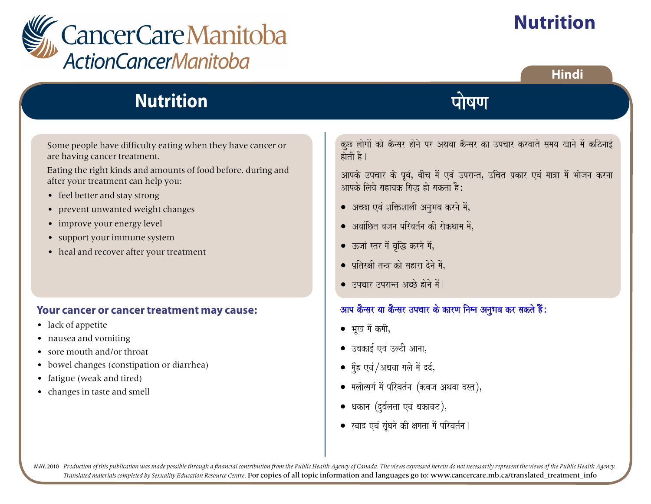

# **Nutrition**

Some people have difficulty eating when they have cancer or are having cancer treatment.

Eating the right kinds and amounts of food before, during and after your treatment can help you:

- feel better and stay strong
- prevent unwanted weight changes
- improve your energy level
- support your immune system
- heal and recover after your treatment

#### **Your cancer or cancer treatment may cause:**

- lack of appetite
- nausea and vomiting
- sore mouth and/or throat
- bowel changes (constipation or diarrhea)
- fatigue (weak and tired)
- changes in taste and smell

कुछ लोगों को कैन्सर होने पर अथवा कैन्सर का उपचार करवाते समय खाने में कठिनाई होती है।

पोषण

आपके उपचार के पूर्व, बीच में एवं उपरान्त, उचित प्रकार एवं मात्रा में भोजन करना आपके लिये सहायक सिद्ध हो सकता है:

- अच्छा एवं शक्तिशाली अनुभव करने में,
- $\bullet$  अवांछित वजन परिवर्तन की रोकथाम में.
- ऊर्जा स्तर में वृद्धि करने में,
- $\bullet$  प्रतिरक्षी तन्त्र को सहारा देने में,
- उपचार उपरान्त अच्छे होने में।

### आप कैन्सर या कैन्सर उपचार के कारण निम्न अनुभव कर सकते हैं:

- भुख में कमी,
- $\bullet$  उबकाई एवं उल्टी आना,
- मुँह एवं /अथवा गले में दर्द,
- $\bullet$  मलोत्सर्ग में परिवर्तन (कबज अथवा दस्त),
- थकान (दुर्बलता एवं थकावट),
- $\bullet$  स्वाद एवं सुंघने की क्षमता में परिवर्तन ।

MAY, 2010 Production of this publication was made possible through a financial contribution from the Public Health Agency of Canada. The views expressed herein do not necessarily represent the views of the Public Health Ag *Translated materials completed by Sexuality Education Resource Centre*. For copies of all topic information and languages go to: www.cancercare.mb.ca/translated\_treatment\_info

**Hindi**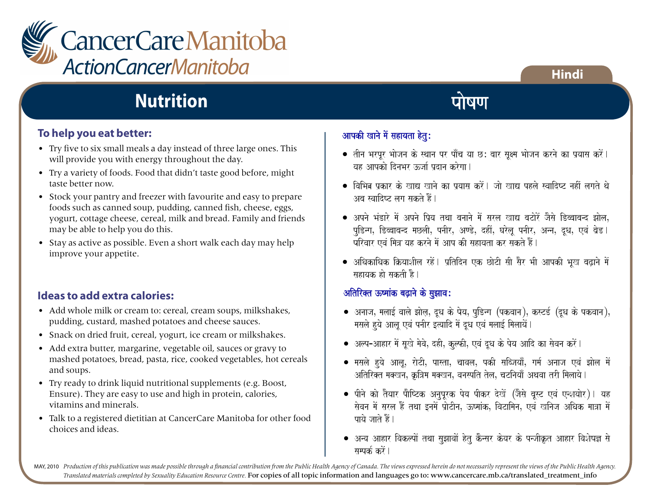

### **To help you eat better:**

- Try five to six small meals a day instead of three large ones. This will provide you with energy throughout the day.
- Try a variety of foods. Food that didn't taste good before, might taste better now.
- Stock your pantry and freezer with favourite and easy to prepare foods such as canned soup, pudding, canned fish, cheese, eggs, yogurt, cottage cheese, cereal, milk and bread. Family and friends may be able to help you do this.
- Stay as active as possible. Even a short walk each day may help improve your appetite.

### **Ideas to add extra calories:**

- Add whole milk or cream to: cereal, cream soups, milkshakes, pudding, custard, mashed potatoes and cheese sauces.
- Snack on dried fruit, cereal, yogurt, ice cream or milkshakes.
- Add extra butter, margarine, vegetable oil, sauces or gravy to mashed potatoes, bread, pasta, rice, cooked vegetables, hot cereals and soups.
- Try ready to drink liquid nutritional supplements (e.g. Boost, Ensure). They are easy to use and high in protein, calories, vitamins and minerals.
- Talk to a registered dietitian at CancerCare Manitoba for other food choices and ideas.

### आपकी खाने में सहायता हेतु:

• svaad evaM saUMGanao kI xamata maoM pirvat-na.

- $\bullet$  तीन भरपूर भोजन के स्थान पर पाँच या छ: बार सूक्ष्म भोजन करने का प्रयास करें।  $\overline{u}$ व्र आपको दिनभर रूर्जा पटान करेगा।
- $\bullet$  विभिन्न पकार के खाद्य खाने का पयास करें। जो खाद्य पहले स्वादिष्ट नहीं लगते थे <u>अब स्वादिष्ट लग सकते हैं।</u>
- $\bullet$  अपने भंडारे में अपने प्रिय तथा बनाने में सरल खाद्य बटोरें जैसे डिब्बाबन्द झोल, पूडिन्ग, डिब्बाबन्द मछली, पनीर, अण्डे, दहीं, घरेलू पनीर, अन्न, दूध, एवं ब्रेड। परिवार एवं मित्र यह करने में आप की सहायता कर सकते हैं।
- अधिकाधिक क्रियाशील रहें। प्रतिदिन एक छोटी सी सैर भी आपकी भूख बढ़ाने में सहायक हो सकती है।

### अतिरिक्त ऊष्मांक बढ़ाने के सुझाव:

- अनाज, मलाई वाले झोल, दूध के पेय, पुडिन्ग (पकवान), कस्टर्ड (दूध के पकवान), मसले हुये आलु एवं पनीर इत्यादि में दुध एवं मलाई मिलायें।
- $\bullet$  अल्प-आहार में सुखे मेवे, दही, कुल्फी, एवं दूध के पेय आदि का सेवन करें।
- मसले हुये आलू, रोटी, पास्ता, चावल, पकी सब्जियाँ, गर्म अनाज एवं झोल में अतिरिक्त मक्खन, क्रत्रिम मक्खन, वनस्पति तेल, चटनियाँ अथवा तरी मिलाये ।
- पीने को तैयार पौष्टिक अनुपूरक पेय पीकर देखें (जैसे बूस्ट एवं एन्शयोर)। यह सेवन में सरल हैं तथा इनमें प्रोटीन, ऊष्मांक, विटामिन, एवं खनिज अधिक मात्रा में पाये जाते हैं।
- अन्य आहार विकल्पों तथा सुझावों हेतु कैन्सर केयर के पन्जीकृत आहार विशेषज्ञ से सम्पर्क $\vec{a}$ ो ।

MAY, 2010 Production of this publication was made possible through a financial contribution from the Public Health Agency of Canada. The views expressed herein do not necessarily represent the views of the Public Health Ag *Translated materials completed by Sexuality Education Resource Centre.* For copies of all topic information and languages go to: www.cancercare.mb.ca/translated\_treatment\_info

### **Hindi**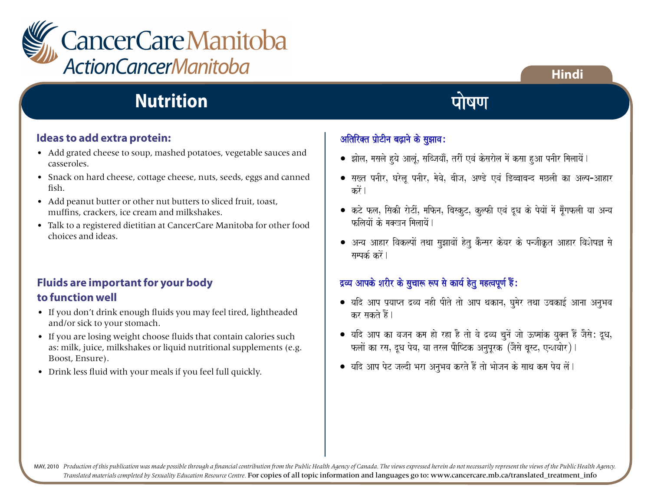

### **Ideas to add extra protein:**

- Add grated cheese to soup, mashed potatoes, vegetable sauces and casseroles.
- Snack on hard cheese, cottage cheese, nuts, seeds, eggs and canned fish.
- Add peanut butter or other nut butters to sliced fruit, toast, muffins, crackers, ice cream and milkshakes.
- Talk to a registered dietitian at CancerCare Manitoba for other food choices and ideas.

### **Fluids are important for your body to function well**

- If you don't drink enough fluids you may feel tired, lightheaded and/or sick to your stomach.
- If you are losing weight choose fluids that contain calories such as: milk, juice, milkshakes or liquid nutritional supplements (e.g. Boost, Ensure).
- Drink less fluid with your meals if you feel full quickly.

### अतिरिक्त प्रोटीन बढ़ाने के सुझाव:

payao jaato hOM.

sampk-

 $\bullet$  झोल, मसले हुये आलूं, सब्जियाँ, तरीं एवं केसरोल में कसा हुआ पनीर मिलायें l

पोषण

- सख्त पनीर, घरेलू पनीर, मेवे, बीज, अण्डे एवं डिब्बाबन्द मछली का अल्प-आहार करें ।
- कटे फल, सिकी रोटीं, मफिन, बिस्कुट, कुल्फी एवं दूध के पेयों में मूँगफली या अन्य फलियों के मकवन मिलायें ।
- $\bullet$  अन्य आहार विकल्पों तथा सुझावों हेतु कैन्सर केयर के पन्जीकृत आहार विशेषज्ञ से सम्पर्क करें ।

### द्रव्य आपके शरीर के सुचारू रूप से कार्य हेतु महत्वपूर्ण हैं:

- $\bullet$  यदि आप प्रयाप्त द्रव्य नही पीते तो आप थकान, घुमेर तथा उबकाई आना अनुभव कर सकते हैं।
- यदि आप का वजन कम हो रहा है तो वे द्रव्य चुनें जो ऊष्मांक युक्त हैं जैसे: दूध, फलों का रस, दुध पेय, या तरल पौष्टिक अनपरक<sup>7</sup>(जैसे बस्ट, एन्शयोर)।
- $\bullet$  यदि आप पेट जल्दी भरा अनुभव करते हैं तो भोजन के साथ कम पेय लें।

MAY, 2010 Production of this publication was made possible through a financial contribution from the Public Health Agency of Canada. The views expressed herein do not necessarily represent the views of the Public Health Ag *Translated materials completed by Sexuality Education Resource Centre.* For copies of all topic information and languages go to: www.cancercare.mb.ca/translated\_treatment\_info

• Kanao maoM

**Hindi** saovana maoM sarla hOM tqaa [namaoM p`aoTInaÊ }YmaaMkÊ ivaTaimanaÊ evaM Kinaja AiQak maa~a maoM